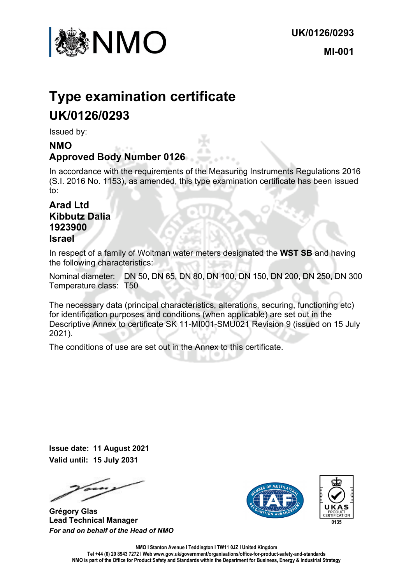

# **Type examination certificate UK/0126/0293**

Issued by:

### **NMO Approved Body Number 0126**

In accordance with the requirements of the Measuring Instruments Regulations 2016 (S.I. 2016 No. 1153), as amended, this type examination certificate has been issued to:

#### **Arad Ltd Kibbutz Dalia 1923900 Israel**

In respect of a family of Woltman water meters designated the **WST SB** and having the following characteristics:

Nominal diameter: DN 50, DN 65, DN 80, DN 100, DN 150, DN 200, DN 250, DN 300 Temperature class: T50

The necessary data (principal characteristics, alterations, securing, functioning etc) for identification purposes and conditions (when applicable) are set out in the Descriptive Annex to certificate SK 11-MI001-SMU021 Revision 9 (issued on 15 July 2021).

The conditions of use are set out in the Annex to this certificate.

**Issue date: 11 August 2021 Valid until: 15 July 2031**

**Grégory Glas Lead Technical Manager**  *For and on behalf of the Head of NMO*